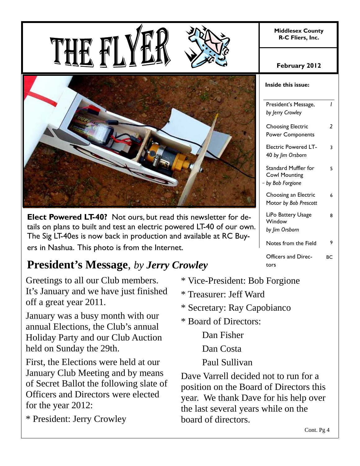**Middlesex County R-C Fliers, Inc.** 





**Elect Powered LT-40?** Not ours, but read this newsletter for details on plans to built and test an electric powered LT-40 of our own. The Sig LT-40es is now back in production and available at RC Buyers in Nashua. This photo is from the Internet.

# **President's Message**, *by Jerry Crowley*

Greetings to all our Club members. It's January and we have just finished off a great year 2011.

January was a busy month with our annual Elections, the Club's annual Holiday Party and our Club Auction held on Sunday the 29th.

First, the Elections were held at our January Club Meeting and by means of Secret Ballot the following slate of Officers and Directors were elected for the year 2012:

\* President: Jerry Crowley

- \* Vice-President: Bob Forgione
- \* Treasurer: Jeff Ward
- \* Secretary: Ray Capobianco
- \* Board of Directors:

Dan Fisher

Dan Costa

Paul Sullivan

Dave Varrell decided not to run for a position on the Board of Directors this year. We thank Dave for his help over the last several years while on the board of directors.

# **February 2012**

| Inside this issue:                                              |    |
|-----------------------------------------------------------------|----|
| President's Message,<br>by Jerry Crowley                        | ı  |
| <b>Choosing Electric</b><br><b>Power Components</b>             | 2  |
| Electric Powered LT-<br>40 by Jim Orsborn                       | 3  |
| Standard Muffler for<br><b>Cowl Mounting</b><br>by Bob Forgione | 5  |
| Choosing an Electric<br>Motor by Bob Prescott                   | 6  |
| LiPo Battery Usage<br>Window<br>by Jim Orsborn                  | 8  |
| Notes from the Field                                            | 9  |
| Officers and Direc-<br>tors                                     | BС |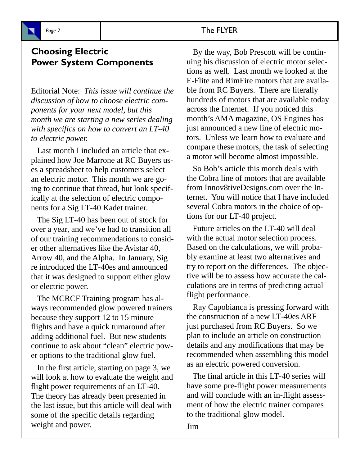

# **Choosing Electric Power System Components**

Editorial Note: *This issue will continue the discussion of how to choose electric components for your next model, but this month we are starting a new series dealing with specifics on how to convert an LT-40 to electric power.*

 Last month I included an article that explained how Joe Marrone at RC Buyers uses a spreadsheet to help customers select an electric motor. This month we are going to continue that thread, but look specifically at the selection of electric components for a Sig LT-40 Kadet trainer.

 The Sig LT-40 has been out of stock for over a year, and we've had to transition all of our training recommendations to consider other alternatives like the Avistar 40, Arrow 40, and the Alpha. In January, Sig re introduced the LT-40es and announced that it was designed to support either glow or electric power.

 The MCRCF Training program has always recommended glow powered trainers because they support 12 to 15 minute flights and have a quick turnaround after adding additional fuel. But new students continue to ask about "clean" electric power options to the traditional glow fuel.

 In the first article, starting on page 3, we will look at how to evaluate the weight and flight power requirements of an LT-40. The theory has already been presented in the last issue, but this article will deal with some of the specific details regarding weight and power.

#### Page 2 and 2 and 2 and 2 and 2 and 2 and 2 and 2 and 2 and 2 and 2 and 2 and 2 and 2 and 2 and 2 and 2 and 2 and 2 and 2 and 2 and 2 and 2 and 2 and 2 and 2 and 2 and 2 and 2 and 2 and 2 and 2 and 2 and 2 and 2 and 2 and 2

 By the way, Bob Prescott will be continuing his discussion of electric motor selections as well. Last month we looked at the E-Flite and RimFire motors that are available from RC Buyers. There are literally hundreds of motors that are available today across the Internet. If you noticed this month's AMA magazine, OS Engines has just announced a new line of electric motors. Unless we learn how to evaluate and compare these motors, the task of selecting a motor will become almost impossible.

 So Bob's article this month deals with the Cobra line of motors that are available from Innov8tiveDesigns.com over the Internet. You will notice that I have included several Cobra motors in the choice of options for our LT-40 project.

 Future articles on the LT-40 will deal with the actual motor selection process. Based on the calculations, we will probably examine at least two alternatives and try to report on the differences. The objective will be to assess how accurate the calculations are in terms of predicting actual flight performance.

 Ray Capobianca is pressing forward with the construction of a new LT-40es ARF just purchased from RC Buyers. So we plan to include an article on construction details and any modifications that may be recommended when assembling this model as an electric powered conversion.

 The final article in this LT-40 series will have some pre-flight power measurements and will conclude with an in-flight assessment of how the electric trainer compares to the traditional glow model.

Jim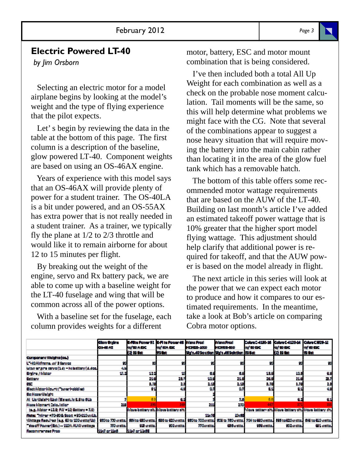# **Electric Powered LT-40**

*by Jim Orsborn*

 Selecting an electric motor for a model airplane begins by looking at the model's weight and the type of flying experience that the pilot expects.

 Let' s begin by reviewing the data in the table at the bottom of this page. The first column is a description of the baseline, glow powered LT-40. Component weights are based on using an OS-46AX engine.

 Years of experience with this model says that an OS-46AX will provide plenty of power for a student trainer. The OS-40LA is a bit under powered, and an OS-55AX has extra power that is not really needed in a student trainer. As a trainer, we typically fly the plane at 1/2 to 2/3 throttle and would like it to remain airborne for about 12 to 15 minutes per flight.

 By breaking out the weight of the engine, servo and Rx battery pack, we are able to come up with a baseline weight for the LT-40 fuselage and wing that will be common across all of the power options.

 With a baseline set for the fuselage, each column provides weights for a different

motor, battery, ESC and motor mount combination that is being considered.

 I've then included both a total All Up Weight for each combination as well as a check on the probable nose moment calculation. Tail moments will be the same, so this will help determine what problems we might face with the CG. Note that several of the combinations appear to suggest a nose heavy situation that will require moving the battery into the main cabin rather than locating it in the area of the glow fuel tank which has a removable hatch.

 The bottom of this table offers some recommended motor wattage requirements that are based on the AUW of the LT-40. Building on last month's article I've added an estimated takeoff power wattage that is 10% greater that the higher sport model flying wattage. This adjustment should help clarify that additional power is required for takeoff, and that the AUW power is based on the model already in flight.

 The next article in this series will look at the power that we can expect each motor to produce and how it compares to our estimated requirements. In the meantime, take a look at Bob's article on comparing Cobra motor options.

|                                              | <b>Clear theirs</b><br><b>OF 45 AS</b> | E-Filts Patent 92 E-Fi ts Patent 65 Milest Prad<br>でがあるので<br>14 W Gr. | <b>WE WANTED</b><br>an Bar | <b>TERMS MAN</b>           | Mass Prod<br><b>IN THE SAME</b><br>Sis's 40 Soution Sis's 46 Scietion IS Sat              | Cobra C 4100 St<br>密留的 | Cobra C-4120-14 Cobra C929-12<br>だがい<br>74 IS 64 | 零整整<br>W Gar                                               |
|----------------------------------------------|----------------------------------------|-----------------------------------------------------------------------|----------------------------|----------------------------|-------------------------------------------------------------------------------------------|------------------------|--------------------------------------------------|------------------------------------------------------------|
| Companent Welshtebach                        |                                        |                                                                       |                            |                            |                                                                                           |                        |                                                  |                                                            |
| L'-40 Aldrems, vol 3 farvos                  |                                        |                                                                       |                            |                            |                                                                                           |                        |                                                  | Ŧ.                                                         |
| kilow ename sarvo (1,6) - holystiany (8,600) | d.h                                    |                                                                       |                            |                            |                                                                                           |                        |                                                  |                                                            |
| <b>Brains / Mater</b>                        | 99.8                                   | 122                                                                   |                            | м                          | 65                                                                                        | 18.9                   | IA.                                              | 36                                                         |
| <b>Battery</b>                               |                                        | 216                                                                   | 48                         | 136                        | 21.9                                                                                      | 58                     | M.                                               | 93                                                         |
| <b>SOF</b>                                   |                                        | 6.65                                                                  | ы.                         | 2.11                       | 2.15                                                                                      | 8.75                   | 6. 25                                            | 28                                                         |
| Glact Mctor McLrt I, wearl obbled            |                                        | 41                                                                    | 46                         |                            | вı                                                                                        | ш                      | 25                                               | 48                                                         |
| <b>Be Note Welgit</b>                        |                                        |                                                                       |                            |                            |                                                                                           |                        |                                                  |                                                            |
| All Lio Walshelt bei füls ast, is 8.8to 8Lb  |                                        | 83                                                                    | ЯB                         |                            | W.                                                                                        | 8.8                    | 83                                               | 61                                                         |
| Ness Mornart Calculation                     | - 1                                    | 395                                                                   | 369                        | 57                         | 48                                                                                        | 467                    | 371                                              | 355                                                        |
| Is.g. Motor = 12.9: FAV = 12 Gettery = 7.9)  |                                        | Move battery alt. Move battery art.                                   |                            |                            |                                                                                           |                        |                                                  | Vicus settery aft léicus isattery aft. Alcus isattery aft. |
| Nets: "hiner -75-206 food =25-215-auth.      |                                        |                                                                       |                            | 25.0                       | <b>Page</b>                                                                               |                        |                                                  |                                                            |
| Wittags Repulse (e.g. 63 to 135 estte/Us)    |                                        | 000to 730 matra. 884 to 000 matra. 884 to 020 matra.                  |                            |                            | [ 2004o 700watta] 808 to 700watta   704 to 880watta   828 to 820watta   848 to 810 waita. |                        |                                                  |                                                            |
| Take off Power(Bst.) - 2228, ALNV watters    | <b>ACCOMMENDATION</b>                  | <b>CONTRACTOR</b>                                                     | <b>STORY STORY</b>         | <b><i>FRIDAY STORE</i></b> | <b>Children State</b>                                                                     | The control.           | <b>STORY STORY</b>                               | <b>GET WHERE</b>                                           |
| Recommended Prop.                            | the orthon                             | 1%/or1%#                                                              |                            |                            |                                                                                           |                        |                                                  |                                                            |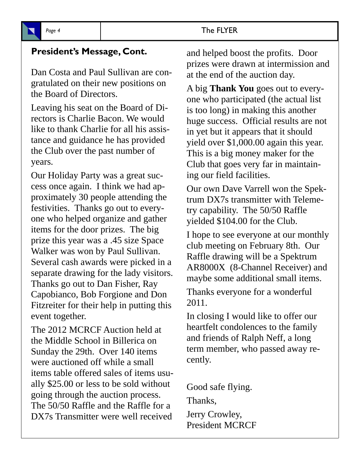# **President's Message, Cont.**

Dan Costa and Paul Sullivan are congratulated on their new positions on the Board of Directors.

Leaving his seat on the Board of Directors is Charlie Bacon. We would like to thank Charlie for all his assistance and guidance he has provided the Club over the past number of years.

Our Holiday Party was a great success once again. I think we had approximately 30 people attending the festivities. Thanks go out to everyone who helped organize and gather items for the door prizes. The big prize this year was a .45 size Space Walker was won by Paul Sullivan. Several cash awards were picked in a separate drawing for the lady visitors. Thanks go out to Dan Fisher, Ray Capobianco, Bob Forgione and Don Fitzreiter for their help in putting this event together.

The 2012 MCRCF Auction held at the Middle School in Billerica on Sunday the 29th. Over 140 items were auctioned off while a small items table offered sales of items usually \$25.00 or less to be sold without going through the auction process. The 50/50 Raffle and the Raffle for a DX7s Transmitter were well received

and helped boost the profits. Door prizes were drawn at intermission and at the end of the auction day.

A big **Thank You** goes out to everyone who participated (the actual list is too long) in making this another huge success. Official results are not in yet but it appears that it should yield over \$1,000.00 again this year. This is a big money maker for the Club that goes very far in maintaining our field facilities.

Our own Dave Varrell won the Spektrum DX7s transmitter with Telemetry capability. The 50/50 Raffle yielded \$104.00 for the Club.

I hope to see everyone at our monthly club meeting on February 8th. Our Raffle drawing will be a Spektrum AR8000X (8-Channel Receiver) and maybe some additional small items.

Thanks everyone for a wonderful 2011.

In closing I would like to offer our heartfelt condolences to the family and friends of Ralph Neff, a long term member, who passed away recently.

Good safe flying. Thanks, Jerry Crowley, President MCRCF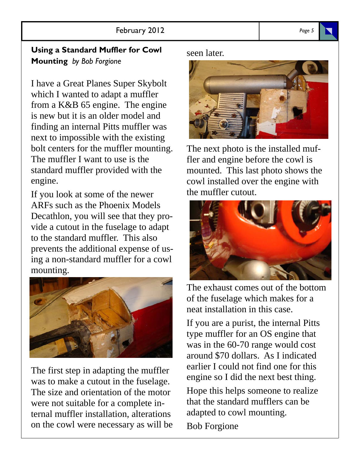# **Using a Standard Muffler for Cowl Mounting** *by Bob Forgione*

I have a Great Planes Super Skybolt which I wanted to adapt a muffler from a K&B 65 engine. The engine is new but it is an older model and finding an internal Pitts muffler was next to impossible with the existing bolt centers for the muffler mounting. The muffler I want to use is the standard muffler provided with the engine.

If you look at some of the newer ARFs such as the Phoenix Models Decathlon, you will see that they provide a cutout in the fuselage to adapt to the standard muffler. This also prevents the additional expense of using a non-standard muffler for a cowl mounting.



The first step in adapting the muffler was to make a cutout in the fuselage. The size and orientation of the motor were not suitable for a complete internal muffler installation, alterations on the cowl were necessary as will be seen later.



The next photo is the installed muffler and engine before the cowl is mounted. This last photo shows the cowl installed over the engine with the muffler cutout.



The exhaust comes out of the bottom of the fuselage which makes for a neat installation in this case.

If you are a purist, the internal Pitts type muffler for an OS engine that was in the 60-70 range would cost around \$70 dollars. As I indicated earlier I could not find one for this engine so I did the next best thing.

Hope this helps someone to realize that the standard mufflers can be adapted to cowl mounting.

Bob Forgione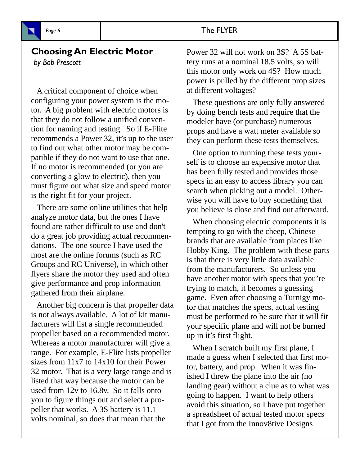

# **Choosing An Electric Motor**

*by Bob Prescott*

 A critical component of choice when configuring your power system is the motor. A big problem with electric motors is that they do not follow a unified convention for naming and testing. So if E-Flite recommends a Power 32, it's up to the user to find out what other motor may be compatible if they do not want to use that one. If no motor is recommended (or you are converting a glow to electric), then you must figure out what size and speed motor is the right fit for your project.

 There are some online utilities that help analyze motor data, but the ones I have found are rather difficult to use and don't do a great job providing actual recommendations. The one source I have used the most are the online forums (such as RC Groups and RC Universe), in which other flyers share the motor they used and often give performance and prop information gathered from their airplane.

 Another big concern is that propeller data is not always available. A lot of kit manufacturers will list a single recommended propeller based on a recommended motor. Whereas a motor manufacturer will give a range. For example, E-Flite lists propeller sizes from 11x7 to 14x10 for their Power 32 motor. That is a very large range and is listed that way because the motor can be used from 12v to 16.8v. So it falls onto you to figure things out and select a propeller that works. A 3S battery is 11.1 volts nominal, so does that mean that the

Power 32 will not work on 3S? A 5S battery runs at a nominal 18.5 volts, so will this motor only work on 4S? How much power is pulled by the different prop sizes at different voltages?

 These questions are only fully answered by doing bench tests and require that the modeler have (or purchase) numerous props and have a watt meter available so they can perform these tests themselves.

 One option to running these tests yourself is to choose an expensive motor that has been fully tested and provides those specs in an easy to access library you can search when picking out a model. Otherwise you will have to buy something that you believe is close and find out afterward.

 When choosing electric components it is tempting to go with the cheep, Chinese brands that are available from places like Hobby King. The problem with these parts is that there is very little data available from the manufacturers. So unless you have another motor with specs that you're trying to match, it becomes a guessing game. Even after choosing a Turnigy motor that matches the specs, actual testing must be performed to be sure that it will fit your specific plane and will not be burned up in it's first flight.

When I scratch built my first plane, I made a guess when I selected that first motor, battery, and prop. When it was finished I threw the plane into the air (no landing gear) without a clue as to what was going to happen. I want to help others avoid this situation, so I have put together a spreadsheet of actual tested motor specs that I got from the Innov8tive Designs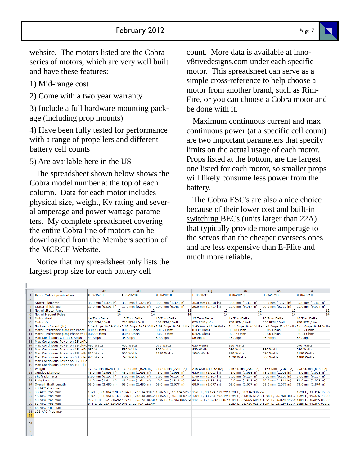website. The motors listed are the Cobra series of motors, which are very well built and have these features:

1) Mid-range cost

2) Come with a two year warranty

3) Include a full hardware mounting package (including prop mounts)

4) Have been fully tested for performance with a range of propellers and different battery cell counts

5) Are available here in the US

 The spreadsheet shown below shows the Cobra model number at the top of each column. Data for each motor includes physical size, weight, Kv rating and several amperage and power wattage parameters. My complete spreadsheet covering the entire Cobra line of motors can be downloaded from the Members section of the MCRCF Website.

 Notice that my spreadsheet only lists the largest prop size for each battery cell

count. More data is available at innov8tivedesigns.com under each specific motor. This spreadsheet can serve as a simple cross-reference to help choose a motor from another brand, such as Rim-Fire, or you can choose a Cobra motor and be done with it.

 Maximum continuous current and max continuous power (at a specific cell count) are two important parameters that specify limits on the actual usage of each motor. Props listed at the bottom, are the largest one listed for each motor, so smaller props will likely consume less power from the battery.

 The Cobra ESC's are also a nice choice because of their lower cost and built-in switching BECs (units larger than 22A) that typically provide more amperage to the servos than the cheaper oversees ones and are less expensive than E-Flite and much more reliable.

|                 | A                                              | <b>AN</b>                                 | A <sub>O</sub>               | AP                                                             | A <sub>O</sub>                                                                                                                                         | <b>AR</b>           | <b>AS</b>           | <b>AT</b>                                                       |
|-----------------|------------------------------------------------|-------------------------------------------|------------------------------|----------------------------------------------------------------|--------------------------------------------------------------------------------------------------------------------------------------------------------|---------------------|---------------------|-----------------------------------------------------------------|
| 1               | <b>Cobra Motor Specifications</b>              | $C-3515/14$                               | $C-3515/18$                  | $C-3520/10$                                                    | $C-3520/12$                                                                                                                                            | $C-3520/14$         | $C-3520/18$         | $C-3525/10$                                                     |
| $\overline{2}$  |                                                |                                           |                              |                                                                |                                                                                                                                                        |                     |                     |                                                                 |
| 3               | Stator Diameter                                | 35.0 mm (1.378 in)                        | 35.0 mm (1.378 in)           | 35.0 mm (1.378 in)                                             | 35.0 mm (1.378 in)                                                                                                                                     | 35.0 mm (1.378 in)  | 35.0 mm (1.378 in)  | 35.0 mm (1.378 in)                                              |
| 4               | <b>Stator Thickness</b>                        | 15.0 mm (0.591 in)                        | 15.0 mm (0.591 in)           | 20.0 mm (0.787 in)                                             | 20.0 mm (0.787 in)                                                                                                                                     | 20.0 mm (0.787 in)  | 20.0 mm (0.787 in)  | 25.0 mm (0.984 in)                                              |
| 5.              | No. of Stator Arms                             | 12                                        | 12                           | 12                                                             | 12                                                                                                                                                     | 12                  | 12                  | 12                                                              |
|                 | 6 No. of Magnet Poles                          | 14                                        | 14                           | 14                                                             | 14                                                                                                                                                     | 14                  | 14                  | 14                                                              |
|                 | <b>Motor Wind</b>                              | 14 Turn Delta                             | 18 Turn Delta                | 10 Turn Delta                                                  | 12 Turn Delta                                                                                                                                          | 14 Turn Delta       | 18 Turn Delta       | 10 Turn Delta                                                   |
| 8               | Motor Kv                                       | 950 RPM / Volt                            | 740 RPM / Volt               | 980 RPM / Volt                                                 | 820 RPM / Volt                                                                                                                                         | 700 RPM / Volt      | 550 RPM / Volt      | 780 RPM / Volt                                                  |
|                 | 9 No-Load Current (Io)                         |                                           |                              | 1.39 Amps @ 14 Volts 1.01 Amps @ 14 Volts 1.84 Amps @ 14 Volts | 1.45 Amps @ 14 Volts                                                                                                                                   |                     |                     | 1.33 Amps @ 20 Volts 0.93 Amps @ 20 Volts 1.65 Amps @ 14 Volts  |
|                 | 10 Motor Resistance (Rm) Per Phase 0.044 Ohms  |                                           | 0.065 Ohms                   | 0.037 Ohms                                                     | 0.039 Ohms                                                                                                                                             | 0.048 Ohms          | 0.075 Ohms          | 0.035 Ohms                                                      |
|                 | 11 Motor Resistance (Rm) Phase to PH0.029 Ohms |                                           | 0.043 Ohms                   | 0.025 Ohms                                                     | 0.026 Ohms                                                                                                                                             | 0.032 Ohms          | 0.050 Ohms          | 0.023 Ohms                                                      |
|                 | 12 Max Continuous Current6 Amps                | 44 Amps                                   | 36 Amps                      | 60 Amps                                                        | 56 Amps                                                                                                                                                | 46 Amps             | 36 Amps             | 62 Amps                                                         |
|                 | 13 Max Continuous Power on 2S Li-Po            |                                           |                              |                                                                |                                                                                                                                                        |                     |                     |                                                                 |
|                 | 14 Max Continuous Power on 3S Li-Po 490 Watts  |                                           | 400 Watts                    | 670 Watts                                                      | 620 Watts                                                                                                                                              | 510 Watts           |                     | 690 Watts                                                       |
|                 | 15 Max Continuous Power on 4S Li-Po 650 Watts  |                                           | 530 Watts                    | 890 Watts                                                      | 830 Watts                                                                                                                                              | 680 Watts           | 530 Watts           | 920 Watts                                                       |
|                 | 16 Max Continuous Power on 5S Li-Po 810 Watts  |                                           | 660 Watts                    | <b>1110 Watts</b>                                              | <b>1040 Watts</b>                                                                                                                                      | 850 Watts           | 670 Watts           | <b>1150 Watts</b>                                               |
|                 | 17 Max Continuous Power on 6S Li-Po 970 Watts  |                                           | 790 Watts                    |                                                                |                                                                                                                                                        | <b>1020 Watts</b>   | 800 Watts           | 1380 Watts                                                      |
|                 | 18 Max Continuous Power on 8S Li-Po            |                                           |                              |                                                                |                                                                                                                                                        |                     |                     |                                                                 |
|                 | 19 Max Continuous Power on 10S Li-P            |                                           |                              |                                                                |                                                                                                                                                        |                     |                     |                                                                 |
|                 | 20 Weight                                      | 178 Grams (6.28 oz)                       | 178 Grams (6.28 oz)          | 210 Grams (7.41 oz)                                            | 216 Grams (7.62 oz)                                                                                                                                    | 216 Grams (7.62 oz) | 216 Grams (7.62 oz) | 253 Grams (8.92 oz)                                             |
|                 | 21 Outside Diameter                            | 43.0 mm (1.693 in)                        | 43.0 mm (1.693 in)           | 43.0 mm (1.693 in)                                             | 43.0 mm (1.693 in)                                                                                                                                     | 43.0 mm (1.693 in)  | 43.0 mm (1.693 in)  | 43.0 mm (1.693 in)                                              |
|                 | 22 Shaft Diameter                              | $5.00$ mm $(0.197$ in)                    | 5.00 mm $(0.197 \text{ in})$ | 5.00 mm $(0.197 \text{ in})$                                   | $5.00$ mm $(0.197$ in)                                                                                                                                 | 5.00 mm (0.197 in)  | 5.00 mm (0.197 in)  | 5.00 mm (0.197 in)                                              |
|                 | 23 Body Length                                 | $41.0$ mm $(1.614$ in)                    | 41.0 mm $(1.614$ in)         | 46.0 mm (1.811 in)                                             | 46.0 mm $(1.811 \text{ in})$                                                                                                                           | 46.0 mm (1.811 in)  | 46.0 mm (1.811 in)  | 51.0 mm (2.008 in)                                              |
|                 | 24 Overall Shaft Length                        | 63.0 mm (2.480 in)                        | 63.0 mm (2.480 in)           | 68.0 mm (2.677 in)                                             | 68.0 mm (2.677 in)                                                                                                                                     | 68.0 mm (2.677 in)  | 68.0 mm (2.677 in)  | 73.0 mm (2.874 in)                                              |
|                 | 25 2S APC Prop max                             |                                           |                              |                                                                |                                                                                                                                                        |                     |                     |                                                                 |
|                 | 26 3S APC Prop max                             |                                           |                              |                                                                | 13x4-E, 24.40A 270.8 15x6-E, 27.94A 310.1 13x6.5-E, 47.47A 526.9 15x8-E, 43.17A 479.2W 15x8-E, 30.34A 336.7W                                           |                     |                     | 15x8-E, 41.49A 460.6                                            |
|                 | 27 4S APC Prop max                             |                                           |                              |                                                                | 10x7-E, 34.68A 513.3'12x6-E, 26.03A 385.2'11x5.5-E, 45.51A 673.5 13x4-E, 33.25A 492.1W 15x4-E, 34.61A 512.3'15x8-E, 25.76A 381.2'15x4-E, 49.32A 730.0' |                     |                     |                                                                 |
|                 | 28 5S APC Prop max                             |                                           |                              |                                                                | 9x6-E, 33.35A 616.9W10x7-E, 26.32A 487.0 10x5-E, 47.73A 882.9W 11x5.5-E, 43.71A 808.7 13x4-E, 32.65A 604.1 15x4-E, 26.87A 497.1 13x4-E, 46.39A 858.2   |                     |                     |                                                                 |
|                 | 29 6S APC Prop max                             | 8x4-E, 28.23A 626.6W 9x6-E, 23.49A 521.4W |                              |                                                                |                                                                                                                                                        |                     |                     | 10x7-E, 36.71A 815.0 13x4-E, 23.12A 513.4 10x6-E, 44.38A 985.2\ |
|                 | 30 8S APC Prop max                             |                                           |                              |                                                                |                                                                                                                                                        |                     |                     |                                                                 |
|                 | 31 10S APC Prop max                            |                                           |                              |                                                                |                                                                                                                                                        |                     |                     |                                                                 |
| 32              |                                                |                                           |                              |                                                                |                                                                                                                                                        |                     |                     |                                                                 |
| 33              |                                                |                                           |                              |                                                                |                                                                                                                                                        |                     |                     |                                                                 |
| 34              |                                                |                                           |                              |                                                                |                                                                                                                                                        |                     |                     |                                                                 |
| 35              |                                                |                                           |                              |                                                                |                                                                                                                                                        |                     |                     |                                                                 |
| 36              |                                                |                                           |                              |                                                                |                                                                                                                                                        |                     |                     |                                                                 |
| 37 <sup>1</sup> |                                                |                                           |                              |                                                                |                                                                                                                                                        |                     |                     |                                                                 |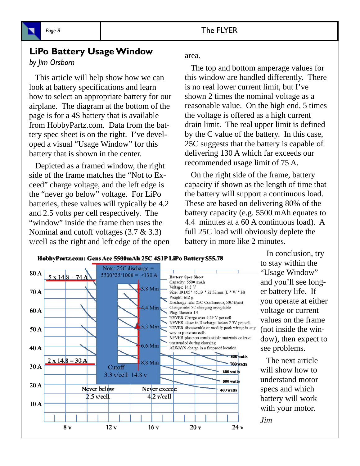

## **LiPo Battery Usage Window**

#### *by Jim Orsborn*

 This article will help show how we can look at battery specifications and learn how to select an appropriate battery for our airplane. The diagram at the bottom of the page is for a 4S battery that is available from HobbyPartz.com. Data from the battery spec sheet is on the right. I've developed a visual "Usage Window" for this battery that is shown in the center.

 Depicted as a framed window, the right side of the frame matches the "Not to Exceed" charge voltage, and the left edge is the "never go below" voltage. For LiPo batteries, these values will typically be 4.2 and 2.5 volts per cell respectively. The "window" inside the frame then uses the Nominal and cutoff voltages (3.7 & 3.3) v/cell as the right and left edge of the open area.

 The top and bottom amperage values for this window are handled differently. There is no real lower current limit, but I've shown 2 times the nominal voltage as a reasonable value. On the high end, 5 times the voltage is offered as a high current drain limit. The real upper limit is defined by the C value of the battery. In this case, 25C suggests that the battery is capable of delivering 130 A which far exceeds our recommended usage limit of 75 A.

 On the right side of the frame, battery capacity if shown as the length of time that the battery will support a continuous load. These are based on delivering 80% of the battery capacity (e.g. 5500 mAh equates to 4.4 minutes at a 60 A continuous load). A full 25C load will obviously deplete the battery in more like 2 minutes.



 In conclusion, try to stay within the "Usage Window" and you'll see longer battery life. If you operate at either voltage or current values on the frame (not inside the window), then expect to see problems.

 The next article will show how to understand motor specs and which battery will work with your motor.

*Jim*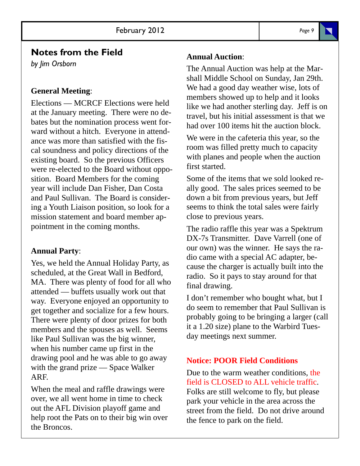# **Notes from the Field**

*by Jim Orsborn*

### **General Meeting**:

Elections — MCRCF Elections were held at the January meeting. There were no debates but the nomination process went forward without a hitch. Everyone in attendance was more than satisfied with the fiscal soundness and policy directions of the existing board. So the previous Officers were re-elected to the Board without opposition. Board Members for the coming year will include Dan Fisher, Dan Costa and Paul Sullivan. The Board is considering a Youth Liaison position, so look for a mission statement and board member appointment in the coming months.

#### **Annual Party**:

Yes, we held the Annual Holiday Party, as scheduled, at the Great Wall in Bedford, MA. There was plenty of food for all who attended — buffets usually work out that way. Everyone enjoyed an opportunity to get together and socialize for a few hours. There were plenty of door prizes for both members and the spouses as well. Seems like Paul Sullivan was the big winner, when his number came up first in the drawing pool and he was able to go away with the grand prize — Space Walker ARF.

When the meal and raffle drawings were over, we all went home in time to check out the AFL Division playoff game and help root the Pats on to their big win over the Broncos.

#### **Annual Auction**:

The Annual Auction was help at the Marshall Middle School on Sunday, Jan 29th. We had a good day weather wise, lots of members showed up to help and it looks like we had another sterling day. Jeff is on travel, but his initial assessment is that we had over 100 items hit the auction block.

We were in the cafeteria this year, so the room was filled pretty much to capacity with planes and people when the auction first started.

Some of the items that we sold looked really good. The sales prices seemed to be down a bit from previous years, but Jeff seems to think the total sales were fairly close to previous years.

The radio raffle this year was a Spektrum DX-7s Transmitter. Dave Varrell (one of our own) was the winner. He says the radio came with a special AC adapter, because the charger is actually built into the radio. So it pays to stay around for that final drawing.

I don't remember who bought what, but I do seem to remember that Paul Sullivan is probably going to be bringing a larger (call it a 1.20 size) plane to the Warbird Tuesday meetings next summer.

### **Notice: POOR Field Conditions**

Due to the warm weather conditions, the field is CLOSED to ALL vehicle traffic. Folks are still welcome to fly, but please park your vehicle in the area across the street from the field. Do not drive around the fence to park on the field.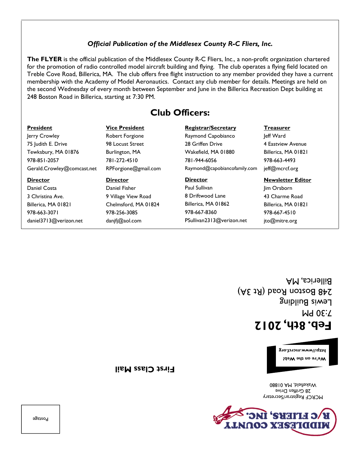**SHEIT** MIDDFESEX CONNAT

MCRCF Registrar/Secretary 28 Griffen Drive Wakefield, MA 01880

**We're on the Web!** 

**http://www.mcrcf.org** 

7:30 PM Lewis Building

# **Feb. 8th, 2012**

248 Boston Road (Rt 3A) Billerica, MA

# jto@mitre.org

Billerica, MA 01821 978-667-4510

Wakefield, MA 01880 Raymond@capobiancofamily.com **Director**  Paul Sullivan 8 Driftwood Lane **Newsletter Editor**  Jim Orsborn 43 Charme Road

Billerica, MA 01862 978-667-8360

PSullivan2313@verizon.net

**Registrar/Secretary**  Raymond Capobianco 28 Griffen Drive 781-944-6056 **Club Officers: President**  Jerry Crowley 75 Judith E. Drive Gerald.Crowley@comcast.net **Vice President**  Robert Forgione 98 Locust Street Burlington, MA 781-272-4510 RPForgione@gmail.com

#### membership with the Academy of Model Aeronautics. Contact any club member for details. Meetings are held on the second Wednesday of every month between September and June in the Billerica Recreation Dept building at 248 Boston Road in Billerica, starting at 7:30 PM.

#### *Official Publication of the Middlesex County R-C Fliers, Inc.*

**The FLYER** is the official publication of the Middlesex County R-C Fliers, Inc., a non-profit organization chartered for the promotion of radio controlled model aircraft building and flying. The club operates a flying field located on Treble Cove Road, Billerica, MA. The club offers free flight instruction to any member provided they have a current

Postage

**First Class Mail** 

Tewksbury, MA 01876 978-851-2057 **Director**  Daniel Costa 3 Christina Ave.

Billerica, MA 01821 978-663-3071 daniel3713@verizon.net **Director**  Daniel Fisher 9 Village View Road Chelmsford, MA 01824 978-256-3085

danjfj@aol.com

**Treasurer**  Jeff Ward 4 Eastview Avenue Billerica, MA 01821 978-663-4493 jeff@mcrcf.org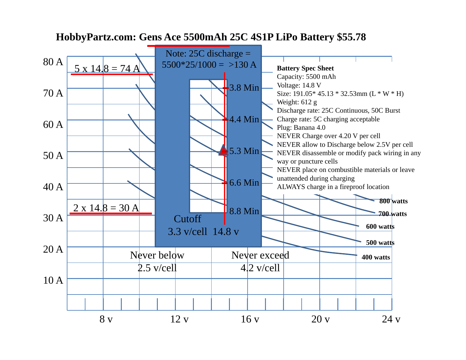

# **HobbyPartz.com: Gens Ace 5500mAh 25C 4S1P LiPo Battery \$55.78**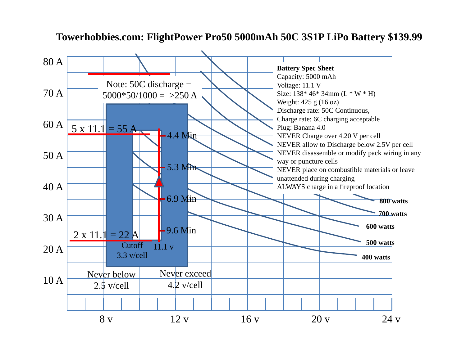# **Towerhobbies.com: FlightPower Pro50 5000mAh 50C 3S1P LiPo Battery \$139.99**

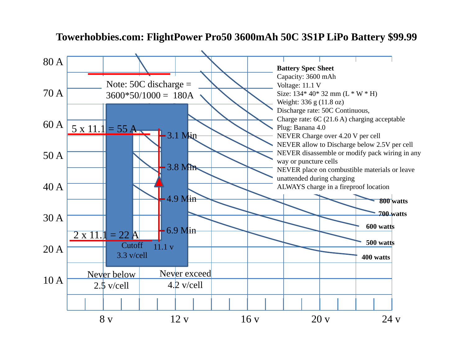# **Towerhobbies.com: FlightPower Pro50 3600mAh 50C 3S1P LiPo Battery \$99.99**

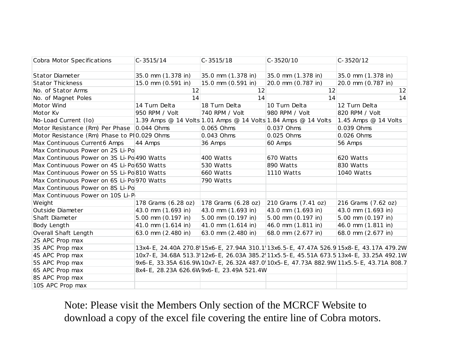| Cobra Motor Specifications                  | $C-3515/14$          | $C-3515/18$                               | $C - 3520/10$                                                  | $C - 3520/12$                                                                          |
|---------------------------------------------|----------------------|-------------------------------------------|----------------------------------------------------------------|----------------------------------------------------------------------------------------|
|                                             |                      |                                           |                                                                |                                                                                        |
| <b>Stator Diameter</b>                      | 35.0 mm (1.378 in)   | 35.0 mm (1.378 in)                        | 35.0 mm (1.378 in)                                             | 35.0 mm (1.378 in)                                                                     |
| <b>Stator Thickness</b>                     | 15.0 mm (0.591 in)   | 15.0 mm (0.591 in)                        | 20.0 mm (0.787 in)                                             | 20.0 mm (0.787 in)                                                                     |
| No. of Stator Arms                          | 12                   | 12                                        | 12                                                             | 12                                                                                     |
| No. of Magnet Poles                         | 14                   | 14                                        | 14                                                             | 14                                                                                     |
| Motor Wind                                  | 14 Turn Delta        | 18 Turn Delta                             | 10 Turn Delta                                                  | 12 Turn Delta                                                                          |
| Motor Kv                                    | 950 RPM / Volt       | 740 RPM / Volt                            | 980 RPM / Volt                                                 | 820 RPM / Volt                                                                         |
| No-Load Current (Io)                        |                      |                                           | 1.39 Amps @ 14 Volts 1.01 Amps @ 14 Volts 1.84 Amps @ 14 Volts | 1.45 Amps $@$ 14 Volts                                                                 |
| Motor Resistance (Rm) Per Phase 0.044 Ohms  |                      | 0.065 Ohms                                | 0.037 Ohms                                                     | 0.039 Ohms                                                                             |
| Motor Resistance (Rm) Phase to PI0.029 Ohms |                      | 0.043 Ohms                                | 0.025 Ohms                                                     | 0.026 Ohms                                                                             |
| Max Continuous Current6 Amps                | 44 Amps              | 36 Amps                                   | 60 Amps                                                        | 56 Amps                                                                                |
| Max Continuous Power on 2S Li-Po            |                      |                                           |                                                                |                                                                                        |
| Max Continuous Power on 3S Li-Po 490 Watts  |                      | 400 Watts                                 | 670 Watts                                                      | 620 Watts                                                                              |
| Max Continuous Power on 4S Li-Po 650 Watts  |                      | 530 Watts                                 | 890 Watts                                                      | 830 Watts                                                                              |
| Max Continuous Power on 5S Li-Po 810 Watts  |                      | 660 Watts                                 | <b>1110 Watts</b>                                              | 1040 Watts                                                                             |
| Max Continuous Power on 6S Li-Po 970 Watts  |                      | 790 Watts                                 |                                                                |                                                                                        |
| Max Continuous Power on 8S Li-Po            |                      |                                           |                                                                |                                                                                        |
| Max Continuous Power on 10S Li-P            |                      |                                           |                                                                |                                                                                        |
| Weight                                      | 178 Grams (6.28 oz)  | 178 Grams (6.28 oz)                       | 210 Grams (7.41 oz)                                            | 216 Grams (7.62 oz)                                                                    |
| Outside Diameter                            | 43.0 mm (1.693 in)   | 43.0 mm (1.693 in)                        | 43.0 mm (1.693 in)                                             | 43.0 mm (1.693 in)                                                                     |
| Shaft Diameter                              | 5.00 mm $(0.197$ in) | 5.00 mm (0.197 in)                        | 5.00 mm (0.197 in)                                             | 5.00 mm $(0.197$ in)                                                                   |
| Body Length                                 | 41.0 mm (1.614 in)   | 41.0 mm (1.614 in)                        | 46.0 mm (1.811 in)                                             | 46.0 mm (1.811 in)                                                                     |
| Overall Shaft Length                        | 63.0 mm (2.480 in)   | 63.0 mm (2.480 in)                        | 68.0 mm (2.677 in)                                             | 68.0 mm (2.677 in)                                                                     |
| 2S APC Prop max                             |                      |                                           |                                                                |                                                                                        |
| 3S APC Prop max                             |                      |                                           |                                                                | 13x4-E, 24.40A 270.8 15x6-E, 27.94A 310.1 13x6.5-E, 47.47A 526.9 15x8-E, 43.17A 479.2W |
| 4S APC Prop max                             |                      |                                           |                                                                | 10x7-E, 34.68A 513.3 12x6-E, 26.03A 385.2 11x5.5-E, 45.51A 673.5 13x4-E, 33.25A 492.1W |
| 5S APC Prop max                             |                      |                                           |                                                                | 9x6-E, 33.35A 616.9W 10x7-E, 26.32A 487.0 10x5-E, 47.73A 882.9W 11x5.5-E, 43.71A 808.7 |
| 6S APC Prop max                             |                      | 8x4-E, 28.23A 626.6W 9x6-E, 23.49A 521.4W |                                                                |                                                                                        |
| 8S APC Prop max                             |                      |                                           |                                                                |                                                                                        |
| 10S APC Prop max                            |                      |                                           |                                                                |                                                                                        |

Note: Please visit the Members Only section of the MCRCF Website to download a copy of the excel file covering the entire line of Cobra motors.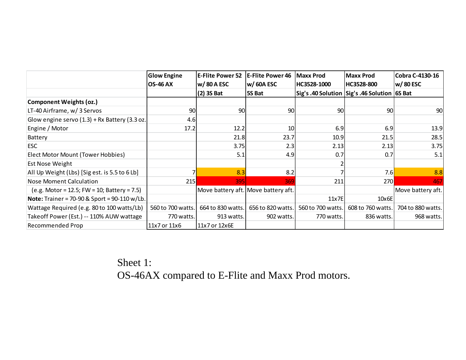|                                                       | <b>Glow Engine</b> | <b>E-Flite Power 52</b> | <b>E-Flite Power 46</b>             | <b>Maxx Prod</b>  | Maxx Prod                                        | Cobra C-4130-16   |
|-------------------------------------------------------|--------------------|-------------------------|-------------------------------------|-------------------|--------------------------------------------------|-------------------|
|                                                       | <b>OS-46 AX</b>    | w/80AESC                | w/60A ESC                           | HC3528-1000       | HC3528-800                                       | w/80 ESC          |
|                                                       |                    | $(2)$ 3S Bat            | 5S Bat                              |                   | Sig's .40 Solution   Sig's .46 Solution   6S Bat |                   |
| <b>Component Weights (oz.)</b>                        |                    |                         |                                     |                   |                                                  |                   |
| LT-40 Airframe, w/ 3 Servos                           | 90                 | 90                      | 90                                  | 90                | 90 <sub>0</sub>                                  | 90                |
| Glow engine servo $(1.3)$ + Rx Battery $(3.3 oz.$     | 4.6                |                         |                                     |                   |                                                  |                   |
| Engine / Motor                                        | 17.2               | 12.2                    | 10                                  | 6.9               | 6.9                                              | 13.9              |
| Battery                                               |                    | 21.8                    | 23.7                                | 10.9              | 21.5                                             | 28.5              |
| <b>ESC</b>                                            |                    | 3.75                    | 2.3                                 | 2.13              | 2.13                                             | 3.75              |
| Elect Motor Mount (Tower Hobbies)                     |                    | 5.1                     | 4.9                                 | 0.7               | 0.7                                              | 5.1               |
| <b>Est Nose Weight</b>                                |                    |                         |                                     |                   |                                                  |                   |
| All Up Weight (Lbs) [Sig est. is 5.5 to 6 Lb]         |                    | 8.3                     | 8.2                                 |                   | 7.6                                              | 8.8               |
| Nose Moment Calculation                               | 215                | 395                     | 369                                 | 211               | 270                                              | 467               |
| $(e.g. Motor = 12.5; FW = 10; battery = 7.5)$         |                    |                         | Move battery aft. Move battery aft. |                   |                                                  | Move battery aft. |
| <b>Note:</b> Trainer = 70-90 & Sport = $90-110$ w/Lb. |                    |                         |                                     | 11x7E             | $10\times 6E$                                    |                   |
| Wattage Required (e.g. 80 to 100 watts/Lb)            | 560 to 700 watts.  | 664 to 830 watts.       | 656 to 820 watts.                   | 560 to 700 watts. | 608 to 760 watts.                                | 704 to 880 watts. |
| Take off Power (Est.) -- 110% AUW wattage             | 770 watts.         | 913 watts.              | 902 watts.                          | 770 watts.        | 836 watts.                                       | 968 watts.        |
| Recommended Prop                                      | 11x7 or 11x6       | 11x7 or 12x6E           |                                     |                   |                                                  |                   |

Sheet 1: OS-46AX compared to E-Flite and Maxx Prod motors.